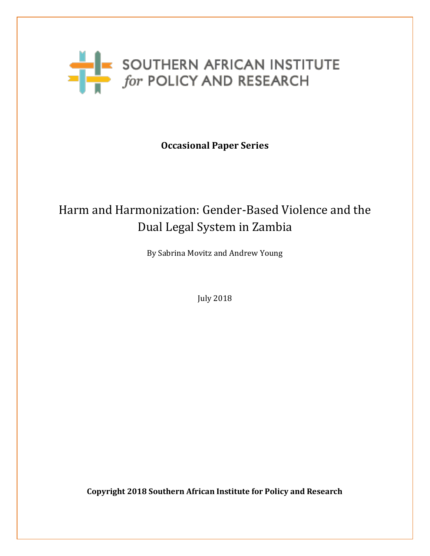

**Occasional Paper Series**

# Harm and Harmonization: Gender-Based Violence and the Dual Legal System in Zambia

By Sabrina Movitz and Andrew Young

July 2018

**Copyright 2018 Southern African Institute for Policy and Research**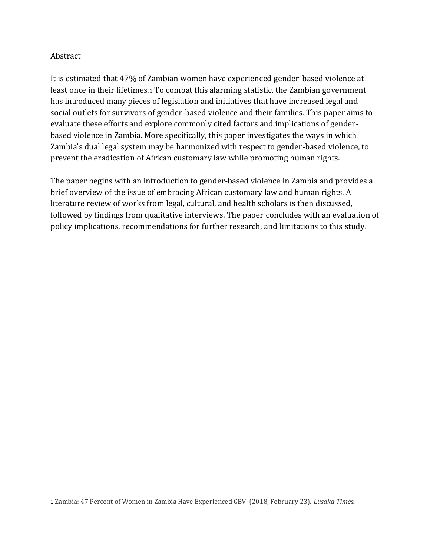#### Abstract

It is estimated that 47% of Zambian women have experienced gender-based violence at least once in their lifetimes.<sup>1</sup> To combat this alarming statistic, the Zambian government has introduced many pieces of legislation and initiatives that have increased legal and social outlets for survivors of gender-based violence and their families. This paper aims to evaluate these efforts and explore commonly cited factors and implications of genderbased violence in Zambia. More specifically, this paper investigates the ways in which Zambia's dual legal system may be harmonized with respect to gender-based violence, to prevent the eradication of African customary law while promoting human rights.

The paper begins with an introduction to gender-based violence in Zambia and provides a brief overview of the issue of embracing African customary law and human rights. A literature review of works from legal, cultural, and health scholars is then discussed, followed by findings from qualitative interviews. The paper concludes with an evaluation of policy implications, recommendations for further research, and limitations to this study.

<sup>1</sup> Zambia: 47 Percent of Women in Zambia Have Experienced GBV. (2018, February 23). *Lusaka Times.*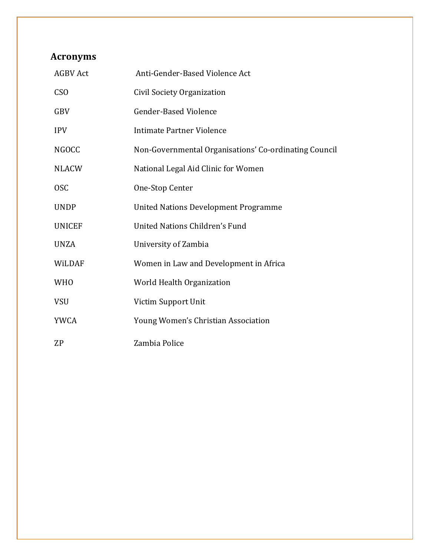## **Acronyms**

| <b>AGBV Act</b> | Anti-Gender-Based Violence Act                        |
|-----------------|-------------------------------------------------------|
| CS <sub>O</sub> | Civil Society Organization                            |
| <b>GBV</b>      | <b>Gender-Based Violence</b>                          |
| <b>IPV</b>      | Intimate Partner Violence                             |
| <b>NGOCC</b>    | Non-Governmental Organisations' Co-ordinating Council |
| <b>NLACW</b>    | National Legal Aid Clinic for Women                   |
| <b>OSC</b>      | One-Stop Center                                       |
| <b>UNDP</b>     | <b>United Nations Development Programme</b>           |
| <b>UNICEF</b>   | United Nations Children's Fund                        |
| <b>UNZA</b>     | University of Zambia                                  |
| WiLDAF          | Women in Law and Development in Africa                |
| <b>WHO</b>      | World Health Organization                             |
| <b>VSU</b>      | Victim Support Unit                                   |
| <b>YWCA</b>     | Young Women's Christian Association                   |
| <b>ZP</b>       | Zambia Police                                         |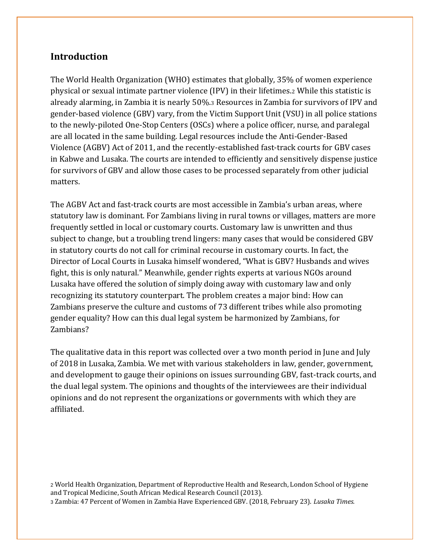## **Introduction**

The World Health Organization (WHO) estimates that globally, 35% of women experience physical or sexual intimate partner violence (IPV) in their lifetimes.<sup>2</sup> While this statistic is already alarming, in Zambia it is nearly 50%.<sup>3</sup> Resources in Zambia for survivors of IPV and gender-based violence (GBV) vary, from the Victim Support Unit (VSU) in all police stations to the newly-piloted One-Stop Centers (OSCs) where a police officer, nurse, and paralegal are all located in the same building. Legal resources include the Anti-Gender-Based Violence (AGBV) Act of 2011, and the recently-established fast-track courts for GBV cases in Kabwe and Lusaka. The courts are intended to efficiently and sensitively dispense justice for survivors of GBV and allow those cases to be processed separately from other judicial matters.

The AGBV Act and fast-track courts are most accessible in Zambia's urban areas, where statutory law is dominant. For Zambians living in rural towns or villages, matters are more frequently settled in local or customary courts. Customary law is unwritten and thus subject to change, but a troubling trend lingers: many cases that would be considered GBV in statutory courts do not call for criminal recourse in customary courts. In fact, the Director of Local Courts in Lusaka himself wondered, "What is GBV? Husbands and wives fight, this is only natural." Meanwhile, gender rights experts at various NGOs around Lusaka have offered the solution of simply doing away with customary law and only recognizing its statutory counterpart. The problem creates a major bind: How can Zambians preserve the culture and customs of 73 different tribes while also promoting gender equality? How can this dual legal system be harmonized by Zambians, for Zambians?

The qualitative data in this report was collected over a two month period in June and July of 2018 in Lusaka, Zambia. We met with various stakeholders in law, gender, government, and development to gauge their opinions on issues surrounding GBV, fast-track courts, and the dual legal system. The opinions and thoughts of the interviewees are their individual opinions and do not represent the organizations or governments with which they are affiliated.

<sup>2</sup> World Health Organization, Department of Reproductive Health and Research, London School of Hygiene and Tropical Medicine, South African Medical Research Council (2013). <sup>3</sup> Zambia: 47 Percent of Women in Zambia Have Experienced GBV. (2018, February 23). *Lusaka Times.*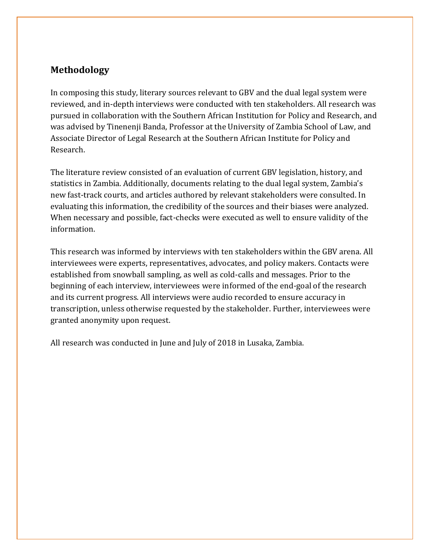## **Methodology**

In composing this study, literary sources relevant to GBV and the dual legal system were reviewed, and in-depth interviews were conducted with ten stakeholders. All research was pursued in collaboration with the Southern African Institution for Policy and Research, and was advised by Tinenenji Banda, Professor at the University of Zambia School of Law, and Associate Director of Legal Research at the Southern African Institute for Policy and Research.

The literature review consisted of an evaluation of current GBV legislation, history, and statistics in Zambia. Additionally, documents relating to the dual legal system, Zambia's new fast-track courts, and articles authored by relevant stakeholders were consulted. In evaluating this information, the credibility of the sources and their biases were analyzed. When necessary and possible, fact-checks were executed as well to ensure validity of the information.

This research was informed by interviews with ten stakeholders within the GBV arena. All interviewees were experts, representatives, advocates, and policy makers. Contacts were established from snowball sampling, as well as cold-calls and messages. Prior to the beginning of each interview, interviewees were informed of the end-goal of the research and its current progress. All interviews were audio recorded to ensure accuracy in transcription, unless otherwise requested by the stakeholder. Further, interviewees were granted anonymity upon request.

All research was conducted in June and July of 2018 in Lusaka, Zambia.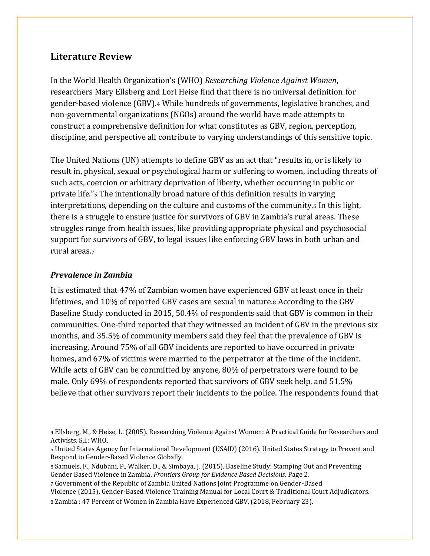### **Literature Review**

In the World Health Organization's (WHO) *Researching Violence Against Women*, researchers Mary Ellsberg and Lori Heise find that there is no universal definition for gender-based violence (GBV).<sup>4</sup> While hundreds of governments, legislative branches, and non-governmental organizations (NGOs) around the world have made attempts to construct a comprehensive definition for what constitutes as GBV, region, perception, discipline, and perspective all contribute to varying understandings of this sensitive topic.

The United Nations (UN) attempts to define GBV as an act that "results in, or is likely to result in, physical, sexual or psychological harm or suffering to women, including threats of such acts, coercion or arbitrary deprivation of liberty, whether occurring in public or private life."<sup>5</sup> The intentionally broad nature of this definition results in varying interpretations, depending on the culture and customs of the community.<sup>6</sup> In this light, there is a struggle to ensure justice for survivors of GBV in Zambia's rural areas. These struggles range from health issues, like providing appropriate physical and psychosocial support for survivors of GBV, to legal issues like enforcing GBV laws in both urban and rural areas.<sup>7</sup>

#### *Prevalence in Zambia*

It is estimated that 47% of Zambian women have experienced GBV at least once in their lifetimes, and 10% of reported GBV cases are sexual in nature.<sup>8</sup> According to the GBV Baseline Study conducted in 2015, 50.4% of respondents said that GBV is common in their communities. One-third reported that they witnessed an incident of GBV in the previous six months, and 35.5% of community members said they feel that the prevalence of GBV is increasing. Around 75% of all GBV incidents are reported to have occurred in private homes, and 67% of victims were married to the perpetrator at the time of the incident. While acts of GBV can be committed by anyone, 80% of perpetrators were found to be male. Only 69% of respondents reported that survivors of GBV seek help, and 51.5% believe that other survivors report their incidents to the police. The respondents found that

<sup>7</sup> Government of the Republic of Zambia United Nations Joint Programme on Gender-Based

Violence (2015). Gender-Based Violence Training Manual for Local Court & Traditional Court Adjudicators. <sup>8</sup> Zambia : 47 Percent of Women in Zambia Have Experienced GBV. (2018, February 23).

<sup>4</sup> Ellsberg, M., & Heise, L. (2005). Researching Violence Against Women: A Practical Guide for Researchers and Activists. S.l.: WHO.

<sup>5</sup> United States Agency for International Development (USAID) (2016). United States Strategy to Prevent and Respond to Gender-Based Violence Globally.

<sup>6</sup> Samuels, F., Ndubani, P., Walker, D., & Simbaya, J. (2015). Baseline Study: Stamping Out and Preventing Gender Based Violence in Zambia. *Frontiers Group for Evidence Based Decisions.* Page 2.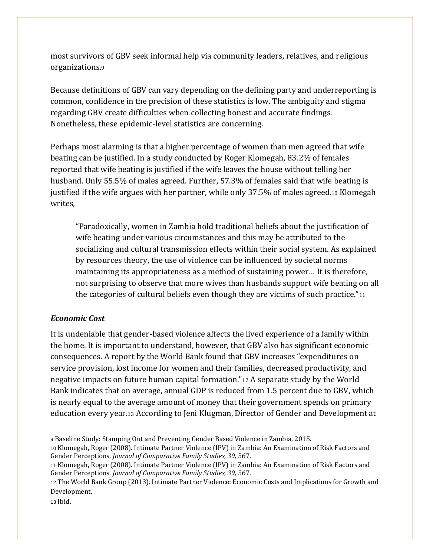most survivors of GBV seek informal help via community leaders, relatives, and religious organizations.<sup>9</sup>

Because definitions of GBV can vary depending on the defining party and underreporting is common, confidence in the precision of these statistics is low. The ambiguity and stigma regarding GBV create difficulties when collecting honest and accurate findings. Nonetheless, these epidemic-level statistics are concerning.

Perhaps most alarming is that a higher percentage of women than men agreed that wife beating can be justified. In a study conducted by Roger Klomegah, 83.2% of females reported that wife beating is justified if the wife leaves the house without telling her husband. Only 55.5% of males agreed. Further, 57.3% of females said that wife beating is justified if the wife argues with her partner, while only 37.5% of males agreed.<sup>10</sup> Klomegah writes,

"Paradoxically, women in Zambia hold traditional beliefs about the justification of wife beating under various circumstances and this may be attributed to the socializing and cultural transmission effects within their social system. As explained by resources theory, the use of violence can be influenced by societal norms maintaining its appropriateness as a method of sustaining power… It is therefore, not surprising to observe that more wives than husbands support wife beating on all the categories of cultural beliefs even though they are victims of such practice." $11$ 

#### *Economic Cost*

It is undeniable that gender-based violence affects the lived experience of a family within the home. It is important to understand, however, that GBV also has significant economic consequences. A report by the World Bank found that GBV increases "expenditures on service provision, lost income for women and their families, decreased productivity, and negative impacts on future human capital formation."<sup>12</sup> A separate study by the World Bank indicates that on average, annual GDP is reduced from 1.5 percent due to GBV, which is nearly equal to the average amount of money that their government spends on primary education every year.<sup>13</sup> According to Jeni Klugman, Director of Gender and Development at

<sup>13</sup> Ibid.

<sup>9</sup> Baseline Study: Stamping Out and Preventing Gender Based Violence in Zambia, 2015.

<sup>10</sup> Klomegah, Roger (2008). Intimate Partner Violence (IPV) in Zambia: An Examination of Risk Factors and Gender Perceptions. *Journal of Comparative Family Studies, 39,* 567.

<sup>11</sup> Klomegah, Roger (2008). Intimate Partner Violence (IPV) in Zambia: An Examination of Risk Factors and Gender Perceptions. *Journal of Comparative Family Studies, 39,* 567.

<sup>12</sup> The World Bank Group (2013). Intimate Partner Violence: Economic Costs and Implications for Growth and Development.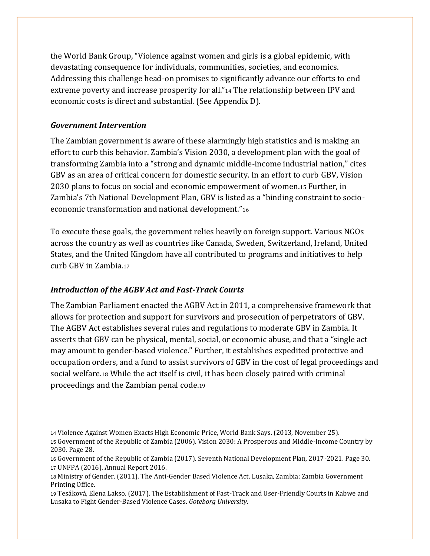the World Bank Group, "Violence against women and girls is a global epidemic, with devastating consequence for individuals, communities, societies, and economics. Addressing this challenge head-on promises to significantly advance our efforts to end extreme poverty and increase prosperity for all."<sup>14</sup> The relationship between IPV and economic costs is direct and substantial. (See Appendix D).

#### *Government Intervention*

The Zambian government is aware of these alarmingly high statistics and is making an effort to curb this behavior. Zambia's Vision 2030, a development plan with the goal of transforming Zambia into a "strong and dynamic middle-income industrial nation," cites GBV as an area of critical concern for domestic security. In an effort to curb GBV, Vision 2030 plans to focus on social and economic empowerment of women.<sup>15</sup> Further, in Zambia's 7th National Development Plan, GBV is listed as a "binding constraint to socioeconomic transformation and national development."<sup>16</sup>

To execute these goals, the government relies heavily on foreign support. Various NGOs across the country as well as countries like Canada, Sweden, Switzerland, Ireland, United States, and the United Kingdom have all contributed to programs and initiatives to help curb GBV in Zambia.<sup>17</sup>

#### *Introduction of the AGBV Act and Fast-Track Courts*

The Zambian Parliament enacted the AGBV Act in 2011, a comprehensive framework that allows for protection and support for survivors and prosecution of perpetrators of GBV. The AGBV Act establishes several rules and regulations to moderate GBV in Zambia. It asserts that GBV can be physical, mental, social, or economic abuse, and that a "single act may amount to gender-based violence." Further, it establishes expedited protective and occupation orders, and a fund to assist survivors of GBV in the cost of legal proceedings and social welfare.<sup>18</sup> While the act itself is civil, it has been closely paired with criminal proceedings and the Zambian penal code.<sup>19</sup>

<sup>14</sup> Violence Against Women Exacts High Economic Price, World Bank Says. (2013, November 25).

<sup>15</sup> Government of the Republic of Zambia (2006). Vision 2030: A Prosperous and Middle-Income Country by 2030. Page 28.

<sup>16</sup> Government of the Republic of Zambia (2017). Seventh National Development Plan, 2017-2021. Page 30. <sup>17</sup> UNFPA (2016). Annual Report 2016.

<sup>18</sup> Ministry of Gender. (2011). The Anti-Gender Based Violence Act. Lusaka, Zambia: Zambia Government Printing Office.

<sup>19</sup> Tesáková, Elena Lakso. (2017). The Establishment of Fast-Track and User-Friendly Courts in Kabwe and Lusaka to Fight Gender-Based Violence Cases. *Goteborg University*.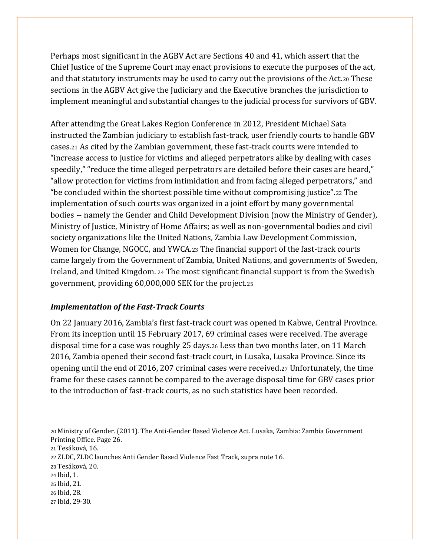Perhaps most significant in the AGBV Act are Sections 40 and 41, which assert that the Chief Justice of the Supreme Court may enact provisions to execute the purposes of the act, and that statutory instruments may be used to carry out the provisions of the Act.<sup>20</sup> These sections in the AGBV Act give the Judiciary and the Executive branches the jurisdiction to implement meaningful and substantial changes to the judicial process for survivors of GBV.

After attending the Great Lakes Region Conference in 2012, President Michael Sata instructed the Zambian judiciary to establish fast-track, user friendly courts to handle GBV cases.<sup>21</sup> As cited by the Zambian government, these fast-track courts were intended to "increase access to justice for victims and alleged perpetrators alike by dealing with cases speedily," "reduce the time alleged perpetrators are detailed before their cases are heard," "allow protection for victims from intimidation and from facing alleged perpetrators," and "be concluded within the shortest possible time without compromising justice".<sup>22</sup> The implementation of such courts was organized in a joint effort by many governmental bodies -- namely the Gender and Child Development Division (now the Ministry of Gender), Ministry of Justice, Ministry of Home Affairs; as well as non-governmental bodies and civil society organizations like the United Nations, Zambia Law Development Commission, Women for Change, NGOCC, and YWCA.<sup>23</sup> The financial support of the fast-track courts came largely from the Government of Zambia, United Nations, and governments of Sweden, Ireland, and United Kingdom. <sup>24</sup> The most significant financial support is from the Swedish government, providing 60,000,000 SEK for the project.<sup>25</sup>

#### *Implementation of the Fast-Track Courts*

On 22 January 2016, Zambia's first fast-track court was opened in Kabwe, Central Province. From its inception until 15 February 2017, 69 criminal cases were received. The average disposal time for a case was roughly 25 days.<sup>26</sup> Less than two months later, on 11 March 2016, Zambia opened their second fast-track court, in Lusaka, Lusaka Province. Since its opening until the end of 2016, 207 criminal cases were received.<sup>27</sup> Unfortunately, the time frame for these cases cannot be compared to the average disposal time for GBV cases prior to the introduction of fast-track courts, as no such statistics have been recorded.

 Ministry of Gender. (2011). The Anti-Gender Based Violence Act. Lusaka, Zambia: Zambia Government Printing Office. Page 26. Tesáková, 16. ZLDC, ZLDC launches Anti Gender Based Violence Fast Track, supra note 16. Tesáková, 20. Ibid, 1. Ibid, 21. Ibid, 28. Ibid, 29-30.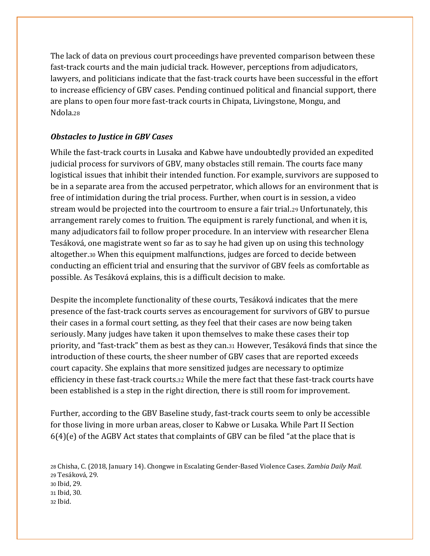The lack of data on previous court proceedings have prevented comparison between these fast-track courts and the main judicial track. However, perceptions from adjudicators, lawyers, and politicians indicate that the fast-track courts have been successful in the effort to increase efficiency of GBV cases. Pending continued political and financial support, there are plans to open four more fast-track courts in Chipata, Livingstone, Mongu, and Ndola.<sup>28</sup>

#### *Obstacles to Justice in GBV Cases*

While the fast-track courts in Lusaka and Kabwe have undoubtedly provided an expedited judicial process for survivors of GBV, many obstacles still remain. The courts face many logistical issues that inhibit their intended function. For example, survivors are supposed to be in a separate area from the accused perpetrator, which allows for an environment that is free of intimidation during the trial process. Further, when court is in session, a video stream would be projected into the courtroom to ensure a fair trial.<sup>29</sup> Unfortunately, this arrangement rarely comes to fruition. The equipment is rarely functional, and when it is, many adjudicators fail to follow proper procedure. In an interview with researcher Elena Tesáková, one magistrate went so far as to say he had given up on using this technology altogether.<sup>30</sup> When this equipment malfunctions, judges are forced to decide between conducting an efficient trial and ensuring that the survivor of GBV feels as comfortable as possible. As Tesáková explains, this is a difficult decision to make.

Despite the incomplete functionality of these courts, Tesáková indicates that the mere presence of the fast-track courts serves as encouragement for survivors of GBV to pursue their cases in a formal court setting, as they feel that their cases are now being taken seriously. Many judges have taken it upon themselves to make these cases their top priority, and "fast-track" them as best as they can.<sup>31</sup> However, Tesáková finds that since the introduction of these courts, the sheer number of GBV cases that are reported exceeds court capacity. She explains that more sensitized judges are necessary to optimize efficiency in these fast-track courts.<sup>32</sup> While the mere fact that these fast-track courts have been established is a step in the right direction, there is still room for improvement.

Further, according to the GBV Baseline study, fast-track courts seem to only be accessible for those living in more urban areas, closer to Kabwe or Lusaka. While Part II Section 6(4)(e) of the AGBV Act states that complaints of GBV can be filed "at the place that is

 Chisha, C. (2018, January 14). Chongwe in Escalating Gender-Based Violence Cases. *Zambia Daily Mail.*  Tesáková, 29. Ibid, 29. Ibid, 30. <sup>32</sup> Ibid.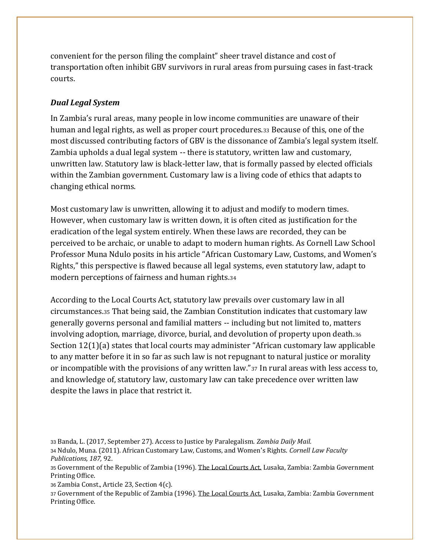convenient for the person filing the complaint" sheer travel distance and cost of transportation often inhibit GBV survivors in rural areas from pursuing cases in fast-track courts.

#### *Dual Legal System*

In Zambia's rural areas, many people in low income communities are unaware of their human and legal rights, as well as proper court procedures.<sup>33</sup> Because of this, one of the most discussed contributing factors of GBV is the dissonance of Zambia's legal system itself. Zambia upholds a dual legal system -- there is statutory, written law and customary, unwritten law. Statutory law is black-letter law, that is formally passed by elected officials within the Zambian government. Customary law is a living code of ethics that adapts to changing ethical norms.

Most customary law is unwritten, allowing it to adjust and modify to modern times. However, when customary law is written down, it is often cited as justification for the eradication of the legal system entirely. When these laws are recorded, they can be perceived to be archaic, or unable to adapt to modern human rights. As Cornell Law School Professor Muna Ndulo posits in his article "African Customary Law, Customs, and Women's Rights," this perspective is flawed because all legal systems, even statutory law, adapt to modern perceptions of fairness and human rights.<sup>34</sup>

According to the Local Courts Act, statutory law prevails over customary law in all circumstances.<sup>35</sup> That being said, the Zambian Constitution indicates that customary law generally governs personal and familial matters -- including but not limited to, matters involving adoption, marriage, divorce, burial, and devolution of property upon death.<sup>36</sup> Section 12(1)(a) states that local courts may administer "African customary law applicable to any matter before it in so far as such law is not repugnant to natural justice or morality or incompatible with the provisions of any written law."<sup>37</sup> In rural areas with less access to, and knowledge of, statutory law, customary law can take precedence over written law despite the laws in place that restrict it.

<sup>37</sup> Government of the Republic of Zambia (1996). The Local Courts Act. Lusaka, Zambia: Zambia Government Printing Office.

<sup>33</sup> Banda, L. (2017, September 27). Access to Justice by Paralegalism. *Zambia Daily Mail.* 

<sup>34</sup> Ndulo, Muna. (2011). African Customary Law, Customs, and Women's Rights. *Cornell Law Faculty Publications, 187,* 92.

<sup>35</sup> Government of the Republic of Zambia (1996). The Local Courts Act. Lusaka, Zambia: Zambia Government Printing Office.

<sup>36</sup> Zambia Const., Article 23, Section 4(c).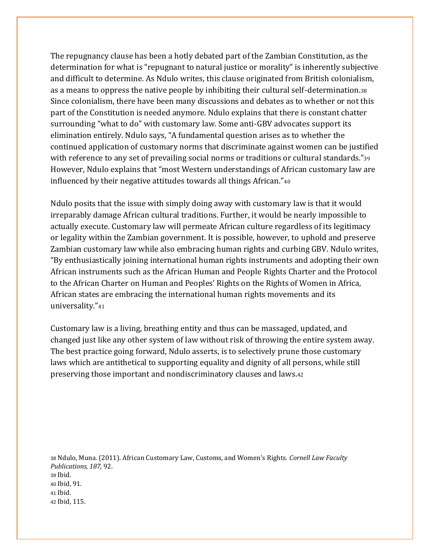The repugnancy clause has been a hotly debated part of the Zambian Constitution, as the determination for what is "repugnant to natural justice or morality" is inherently subjective and difficult to determine. As Ndulo writes, this clause originated from British colonialism, as a means to oppress the native people by inhibiting their cultural self-determination.<sup>38</sup> Since colonialism, there have been many discussions and debates as to whether or not this part of the Constitution is needed anymore. Ndulo explains that there is constant chatter surrounding "what to do" with customary law. Some anti-GBV advocates support its elimination entirely. Ndulo says, "A fundamental question arises as to whether the continued application of customary norms that discriminate against women can be justified with reference to any set of prevailing social norms or traditions or cultural standards."<sup>39</sup> However, Ndulo explains that "most Western understandings of African customary law are influenced by their negative attitudes towards all things African."<sup>40</sup>

Ndulo posits that the issue with simply doing away with customary law is that it would irreparably damage African cultural traditions. Further, it would be nearly impossible to actually execute. Customary law will permeate African culture regardless of its legitimacy or legality within the Zambian government. It is possible, however, to uphold and preserve Zambian customary law while also embracing human rights and curbing GBV. Ndulo writes, "By enthusiastically joining international human rights instruments and adopting their own African instruments such as the African Human and People Rights Charter and the Protocol to the African Charter on Human and Peoples' Rights on the Rights of Women in Africa, African states are embracing the international human rights movements and its universality."<sup>41</sup>

Customary law is a living, breathing entity and thus can be massaged, updated, and changed just like any other system of law without risk of throwing the entire system away. The best practice going forward, Ndulo asserts, is to selectively prune those customary laws which are antithetical to supporting equality and dignity of all persons, while still preserving those important and nondiscriminatory clauses and laws.<sup>42</sup>

<sup>38</sup> Ndulo, Muna. (2011). African Customary Law, Customs, and Women's Rights. *Cornell Law Faculty Publications, 187,* 92. <sup>39</sup> Ibid. <sup>40</sup> Ibid, 91. <sup>41</sup> Ibid. <sup>42</sup> Ibid, 115.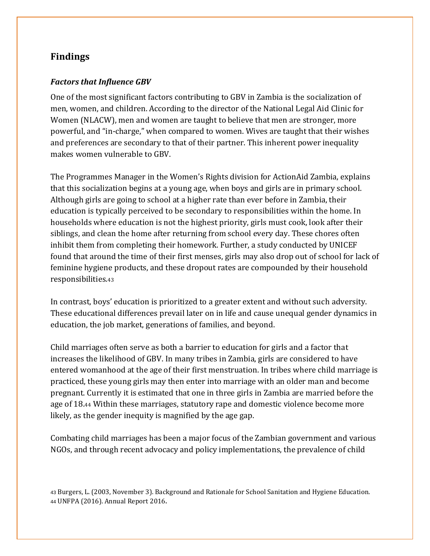## **Findings**

#### *Factors that Influence GBV*

One of the most significant factors contributing to GBV in Zambia is the socialization of men, women, and children. According to the director of the National Legal Aid Clinic for Women (NLACW), men and women are taught to believe that men are stronger, more powerful, and "in-charge," when compared to women. Wives are taught that their wishes and preferences are secondary to that of their partner. This inherent power inequality makes women vulnerable to GBV.

The Programmes Manager in the Women's Rights division for ActionAid Zambia, explains that this socialization begins at a young age, when boys and girls are in primary school. Although girls are going to school at a higher rate than ever before in Zambia, their education is typically perceived to be secondary to responsibilities within the home. In households where education is not the highest priority, girls must cook, look after their siblings, and clean the home after returning from school every day. These chores often inhibit them from completing their homework. Further, a study conducted by UNICEF found that around the time of their first menses, girls may also drop out of school for lack of feminine hygiene products, and these dropout rates are compounded by their household responsibilities.<sup>43</sup>

In contrast, boys' education is prioritized to a greater extent and without such adversity. These educational differences prevail later on in life and cause unequal gender dynamics in education, the job market, generations of families, and beyond.

Child marriages often serve as both a barrier to education for girls and a factor that increases the likelihood of GBV. In many tribes in Zambia, girls are considered to have entered womanhood at the age of their first menstruation. In tribes where child marriage is practiced, these young girls may then enter into marriage with an older man and become pregnant. Currently it is estimated that one in three girls in Zambia are married before the age of 18.<sup>44</sup> Within these marriages, statutory rape and domestic violence become more likely, as the gender inequity is magnified by the age gap.

Combating child marriages has been a major focus of the Zambian government and various NGOs, and through recent advocacy and policy implementations, the prevalence of child

<sup>43</sup> Burgers, L. (2003, November 3). Background and Rationale for School Sanitation and Hygiene Education. <sup>44</sup> UNFPA (2016). Annual Report 2016.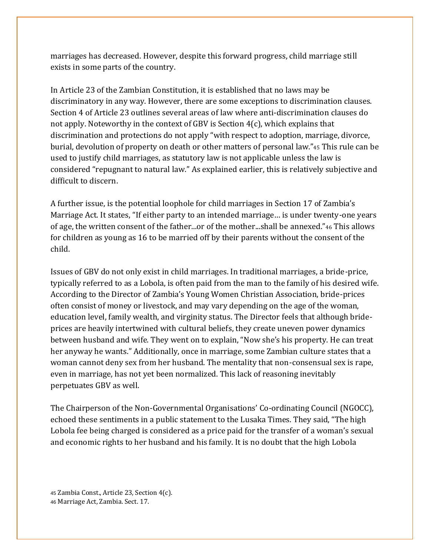marriages has decreased. However, despite this forward progress, child marriage still exists in some parts of the country.

In Article 23 of the Zambian Constitution, it is established that no laws may be discriminatory in any way. However, there are some exceptions to discrimination clauses. Section 4 of Article 23 outlines several areas of law where anti-discrimination clauses do not apply. Noteworthy in the context of GBV is Section  $4(c)$ , which explains that discrimination and protections do not apply "with respect to adoption, marriage, divorce, burial, devolution of property on death or other matters of personal law."<sup>45</sup> This rule can be used to justify child marriages, as statutory law is not applicable unless the law is considered "repugnant to natural law." As explained earlier, this is relatively subjective and difficult to discern.

A further issue, is the potential loophole for child marriages in Section 17 of Zambia's Marriage Act. It states, "If either party to an intended marriage… is under twenty-one years of age, the written consent of the father...or of the mother...shall be annexed."<sup>46</sup> This allows for children as young as 16 to be married off by their parents without the consent of the child.

Issues of GBV do not only exist in child marriages. In traditional marriages, a bride-price, typically referred to as a Lobola, is often paid from the man to the family of his desired wife. According to the Director of Zambia's Young Women Christian Association, bride-prices often consist of money or livestock, and may vary depending on the age of the woman, education level, family wealth, and virginity status. The Director feels that although brideprices are heavily intertwined with cultural beliefs, they create uneven power dynamics between husband and wife. They went on to explain, "Now she's his property. He can treat her anyway he wants." Additionally, once in marriage, some Zambian culture states that a woman cannot deny sex from her husband. The mentality that non-consensual sex is rape, even in marriage, has not yet been normalized. This lack of reasoning inevitably perpetuates GBV as well.

The Chairperson of the Non-Governmental Organisations' Co-ordinating Council (NGOCC), echoed these sentiments in a public statement to the Lusaka Times. They said, "The high Lobola fee being charged is considered as a price paid for the transfer of a woman's sexual and economic rights to her husband and his family. It is no doubt that the high Lobola

<sup>45</sup> Zambia Const., Article 23, Section 4(c). <sup>46</sup> Marriage Act, Zambia. Sect. 17.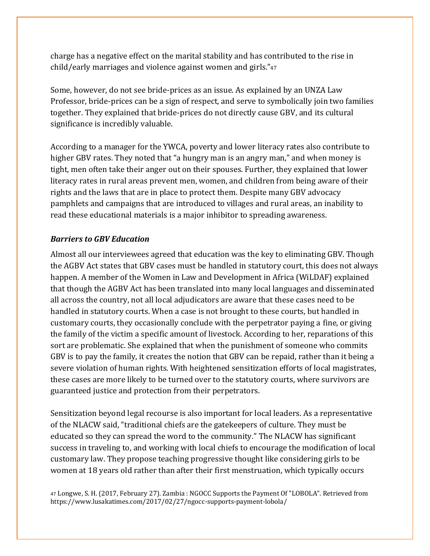charge has a negative effect on the marital stability and has contributed to the rise in child/early marriages and violence against women and girls."<sup>47</sup>

Some, however, do not see bride-prices as an issue. As explained by an UNZA Law Professor, bride-prices can be a sign of respect, and serve to symbolically join two families together. They explained that bride-prices do not directly cause GBV, and its cultural significance is incredibly valuable.

According to a manager for the YWCA, poverty and lower literacy rates also contribute to higher GBV rates. They noted that "a hungry man is an angry man," and when money is tight, men often take their anger out on their spouses. Further, they explained that lower literacy rates in rural areas prevent men, women, and children from being aware of their rights and the laws that are in place to protect them. Despite many GBV advocacy pamphlets and campaigns that are introduced to villages and rural areas, an inability to read these educational materials is a major inhibitor to spreading awareness.

#### *Barriers to GBV Education*

Almost all our interviewees agreed that education was the key to eliminating GBV. Though the AGBV Act states that GBV cases must be handled in statutory court, this does not always happen. A member of the Women in Law and Development in Africa (WiLDAF) explained that though the AGBV Act has been translated into many local languages and disseminated all across the country, not all local adjudicators are aware that these cases need to be handled in statutory courts. When a case is not brought to these courts, but handled in customary courts, they occasionally conclude with the perpetrator paying a fine, or giving the family of the victim a specific amount of livestock. According to her, reparations of this sort are problematic. She explained that when the punishment of someone who commits GBV is to pay the family, it creates the notion that GBV can be repaid, rather than it being a severe violation of human rights. With heightened sensitization efforts of local magistrates, these cases are more likely to be turned over to the statutory courts, where survivors are guaranteed justice and protection from their perpetrators.

Sensitization beyond legal recourse is also important for local leaders. As a representative of the NLACW said, "traditional chiefs are the gatekeepers of culture. They must be educated so they can spread the word to the community." The NLACW has significant success in traveling to, and working with local chiefs to encourage the modification of local customary law. They propose teaching progressive thought like considering girls to be women at 18 years old rather than after their first menstruation, which typically occurs

<sup>47</sup> Longwe, S. H. (2017, February 27). Zambia : NGOCC Supports the Payment Of "LOBOLA". Retrieved from https://www.lusakatimes.com/2017/02/27/ngocc-supports-payment-lobola/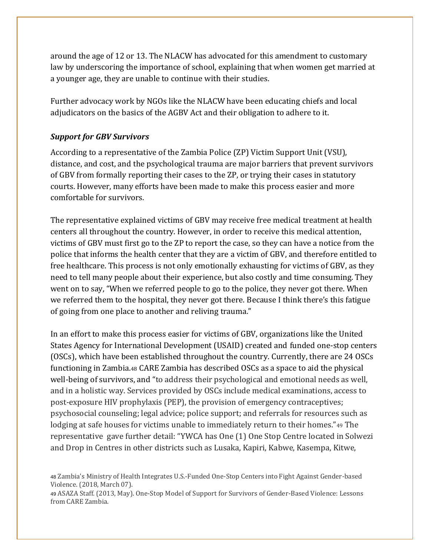around the age of 12 or 13. The NLACW has advocated for this amendment to customary law by underscoring the importance of school, explaining that when women get married at a younger age, they are unable to continue with their studies.

Further advocacy work by NGOs like the NLACW have been educating chiefs and local adjudicators on the basics of the AGBV Act and their obligation to adhere to it.

#### *Support for GBV Survivors*

According to a representative of the Zambia Police (ZP) Victim Support Unit (VSU), distance, and cost, and the psychological trauma are major barriers that prevent survivors of GBV from formally reporting their cases to the ZP, or trying their cases in statutory courts. However, many efforts have been made to make this process easier and more comfortable for survivors.

The representative explained victims of GBV may receive free medical treatment at health centers all throughout the country. However, in order to receive this medical attention, victims of GBV must first go to the ZP to report the case, so they can have a notice from the police that informs the health center that they are a victim of GBV, and therefore entitled to free healthcare. This process is not only emotionally exhausting for victims of GBV, as they need to tell many people about their experience, but also costly and time consuming. They went on to say, "When we referred people to go to the police, they never got there. When we referred them to the hospital, they never got there. Because I think there's this fatigue of going from one place to another and reliving trauma."

In an effort to make this process easier for victims of GBV, organizations like the United States Agency for International Development (USAID) created and funded one-stop centers (OSCs), which have been established throughout the country. Currently, there are 24 OSCs functioning in Zambia.<sup>48</sup> CARE Zambia has described OSCs as a space to aid the physical well-being of survivors, and "to address their psychological and emotional needs as well, and in a holistic way. Services provided by OSCs include medical examinations, access to post-exposure HIV prophylaxis (PEP), the provision of emergency contraceptives; psychosocial counseling; legal advice; police support; and referrals for resources such as lodging at safe houses for victims unable to immediately return to their homes."<sup>49</sup> The representative gave further detail: "YWCA has One (1) One Stop Centre located in Solwezi and Drop in Centres in other districts such as Lusaka, Kapiri, Kabwe, Kasempa, Kitwe,

<sup>48</sup> Zambia's Ministry of Health Integrates U.S.-Funded One-Stop Centers into Fight Against Gender-based Violence. (2018, March 07).

<sup>49</sup> ASAZA Staff. (2013, May). One-Stop Model of Support for Survivors of Gender-Based Violence: Lessons from CARE Zambia.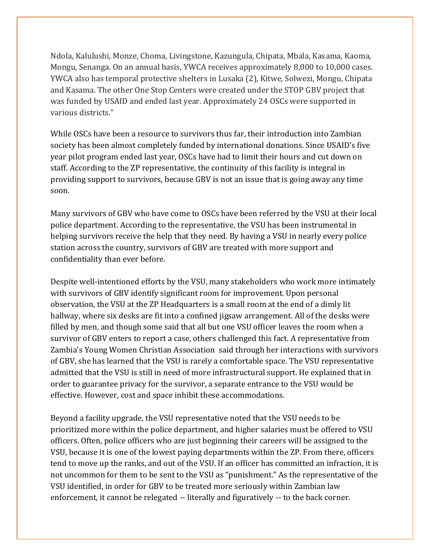Ndola, Kalulushi, Monze, Choma, Livingstone, Kazungula, Chipata, Mbala, Kasama, Kaoma, Mongu, Senanga. On an annual basis, YWCA receives approximately 8,000 to 10,000 cases. YWCA also has temporal protective shelters in Lusaka (2), Kitwe, Solwezi, Mongu, Chipata and Kasama. The other One Stop Centers were created under the STOP GBV project that was funded by USAID and ended last year. Approximately 24 OSCs were supported in various districts."

While OSCs have been a resource to survivors thus far, their introduction into Zambian society has been almost completely funded by international donations. Since USAID's five year pilot program ended last year, OSCs have had to limit their hours and cut down on staff. According to the ZP representative, the continuity of this facility is integral in providing support to survivors, because GBV is not an issue that is going away any time soon.

Many survivors of GBV who have come to OSCs have been referred by the VSU at their local police department. According to the representative, the VSU has been instrumental in helping survivors receive the help that they need. By having a VSU in nearly every police station across the country, survivors of GBV are treated with more support and confidentiality than ever before.

Despite well-intentioned efforts by the VSU, many stakeholders who work more intimately with survivors of GBV identify significant room for improvement. Upon personal observation, the VSU at the ZP Headquarters is a small room at the end of a dimly lit hallway, where six desks are fit into a confined jigsaw arrangement. All of the desks were filled by men, and though some said that all but one VSU officer leaves the room when a survivor of GBV enters to report a case, others challenged this fact. A representative from Zambia's Young Women Christian Association said through her interactions with survivors of GBV, she has learned that the VSU is rarely a comfortable space. The VSU representative admitted that the VSU is still in need of more infrastructural support. He explained that in order to guarantee privacy for the survivor, a separate entrance to the VSU would be effective. However, cost and space inhibit these accommodations.

Beyond a facility upgrade, the VSU representative noted that the VSU needs to be prioritized more within the police department, and higher salaries must be offered to VSU officers. Often, police officers who are just beginning their careers will be assigned to the VSU, because it is one of the lowest paying departments within the ZP. From there, officers tend to move up the ranks, and out of the VSU. If an officer has committed an infraction, it is not uncommon for them to be sent to the VSU as "punishment." As the representative of the VSU identified, in order for GBV to be treated more seriously within Zambian law enforcement, it cannot be relegated -- literally and figuratively -- to the back corner.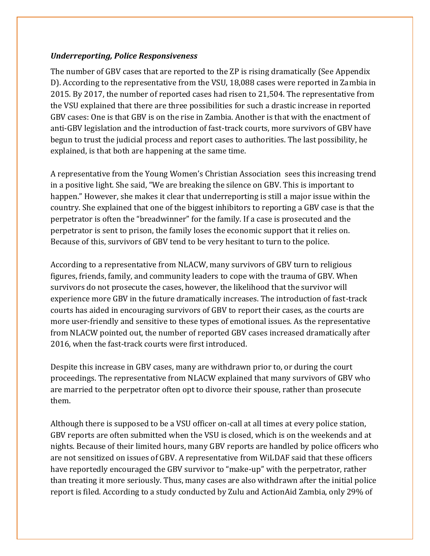#### *Underreporting, Police Responsiveness*

The number of GBV cases that are reported to the ZP is rising dramatically (See Appendix D). According to the representative from the VSU, 18,088 cases were reported in Zambia in 2015. By 2017, the number of reported cases had risen to 21,504. The representative from the VSU explained that there are three possibilities for such a drastic increase in reported GBV cases: One is that GBV is on the rise in Zambia. Another is that with the enactment of anti-GBV legislation and the introduction of fast-track courts, more survivors of GBV have begun to trust the judicial process and report cases to authorities. The last possibility, he explained, is that both are happening at the same time.

A representative from the Young Women's Christian Association sees this increasing trend in a positive light. She said, "We are breaking the silence on GBV. This is important to happen." However, she makes it clear that underreporting is still a major issue within the country. She explained that one of the biggest inhibitors to reporting a GBV case is that the perpetrator is often the "breadwinner" for the family. If a case is prosecuted and the perpetrator is sent to prison, the family loses the economic support that it relies on. Because of this, survivors of GBV tend to be very hesitant to turn to the police.

According to a representative from NLACW, many survivors of GBV turn to religious figures, friends, family, and community leaders to cope with the trauma of GBV. When survivors do not prosecute the cases, however, the likelihood that the survivor will experience more GBV in the future dramatically increases. The introduction of fast-track courts has aided in encouraging survivors of GBV to report their cases, as the courts are more user-friendly and sensitive to these types of emotional issues. As the representative from NLACW pointed out, the number of reported GBV cases increased dramatically after 2016, when the fast-track courts were first introduced.

Despite this increase in GBV cases, many are withdrawn prior to, or during the court proceedings. The representative from NLACW explained that many survivors of GBV who are married to the perpetrator often opt to divorce their spouse, rather than prosecute them.

Although there is supposed to be a VSU officer on-call at all times at every police station, GBV reports are often submitted when the VSU is closed, which is on the weekends and at nights. Because of their limited hours, many GBV reports are handled by police officers who are not sensitized on issues of GBV. A representative from WiLDAF said that these officers have reportedly encouraged the GBV survivor to "make-up" with the perpetrator, rather than treating it more seriously. Thus, many cases are also withdrawn after the initial police report is filed. According to a study conducted by Zulu and ActionAid Zambia, only 29% of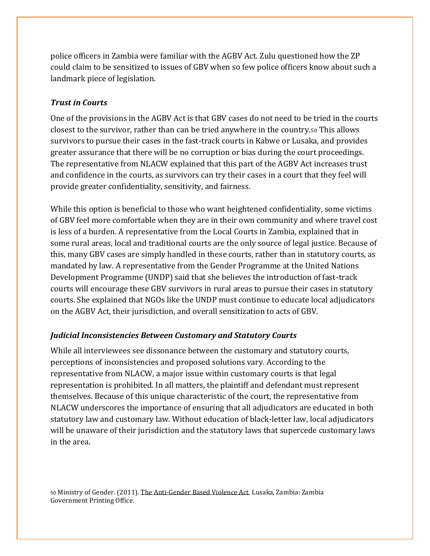police officers in Zambia were familiar with the AGBV Act. Zulu questioned how the ZP could claim to be sensitized to issues of GBV when so few police officers know about such a landmark piece of legislation.

#### *Trust in Courts*

One of the provisions in the AGBV Act is that GBV cases do not need to be tried in the courts closest to the survivor, rather than can be tried anywhere in the country.<sup>50</sup> This allows survivors to pursue their cases in the fast-track courts in Kabwe or Lusaka, and provides greater assurance that there will be no corruption or bias during the court proceedings. The representative from NLACW explained that this part of the AGBV Act increases trust and confidence in the courts, as survivors can try their cases in a court that they feel will provide greater confidentiality, sensitivity, and fairness.

While this option is beneficial to those who want heightened confidentiality, some victims of GBV feel more comfortable when they are in their own community and where travel cost is less of a burden. A representative from the Local Courts in Zambia, explained that in some rural areas, local and traditional courts are the only source of legal justice. Because of this, many GBV cases are simply handled in these courts, rather than in statutory courts, as mandated by law. A representative from the Gender Programme at the United Nations Development Programme (UNDP) said that she believes the introduction of fast-track courts will encourage these GBV survivors in rural areas to pursue their cases in statutory courts. She explained that NGOs like the UNDP must continue to educate local adjudicators on the AGBV Act, their jurisdiction, and overall sensitization to acts of GBV.

#### *Judicial Inconsistencies Between Customary and Statutory Courts*

While all interviewees see dissonance between the customary and statutory courts, perceptions of inconsistencies and proposed solutions vary. According to the representative from NLACW, a major issue within customary courts is that legal representation is prohibited. In all matters, the plaintiff and defendant must represent themselves. Because of this unique characteristic of the court, the representative from NLACW underscores the importance of ensuring that all adjudicators are educated in both statutory law and customary law. Without education of black-letter law, local adjudicators will be unaware of their jurisdiction and the statutory laws that supercede customary laws in the area.

<sup>50</sup> Ministry of Gender. (2011). The Anti-Gender Based Violence Act. Lusaka, Zambia: Zambia Government Printing Office.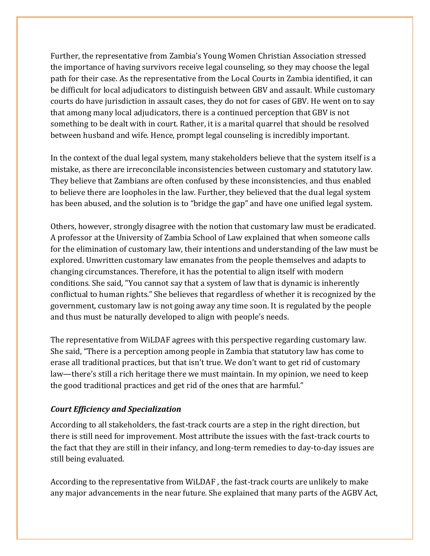Further, the representative from Zambia's Young Women Christian Association stressed the importance of having survivors receive legal counseling, so they may choose the legal path for their case. As the representative from the Local Courts in Zambia identified, it can be difficult for local adjudicators to distinguish between GBV and assault. While customary courts do have jurisdiction in assault cases, they do not for cases of GBV. He went on to say that among many local adjudicators, there is a continued perception that GBV is not something to be dealt with in court. Rather, it is a marital quarrel that should be resolved between husband and wife. Hence, prompt legal counseling is incredibly important.

In the context of the dual legal system, many stakeholders believe that the system itself is a mistake, as there are irreconcilable inconsistencies between customary and statutory law. They believe that Zambians are often confused by these inconsistencies, and thus enabled to believe there are loopholes in the law. Further, they believed that the dual legal system has been abused, and the solution is to "bridge the gap" and have one unified legal system.

Others, however, strongly disagree with the notion that customary law must be eradicated. A professor at the University of Zambia School of Law explained that when someone calls for the elimination of customary law, their intentions and understanding of the law must be explored. Unwritten customary law emanates from the people themselves and adapts to changing circumstances. Therefore, it has the potential to align itself with modern conditions. She said, "You cannot say that a system of law that is dynamic is inherently conflictual to human rights." She believes that regardless of whether it is recognized by the government, customary law is not going away any time soon. It is regulated by the people and thus must be naturally developed to align with people's needs.

The representative from WiLDAF agrees with this perspective regarding customary law. She said, "There is a perception among people in Zambia that statutory law has come to erase all traditional practices, but that isn't true. We don't want to get rid of customary law—there's still a rich heritage there we must maintain. In my opinion, we need to keep the good traditional practices and get rid of the ones that are harmful."

#### *Court Efficiency and Specialization*

According to all stakeholders, the fast-track courts are a step in the right direction, but there is still need for improvement. Most attribute the issues with the fast-track courts to the fact that they are still in their infancy, and long-term remedies to day-to-day issues are still being evaluated.

According to the representative from WiLDAF , the fast-track courts are unlikely to make any major advancements in the near future. She explained that many parts of the AGBV Act,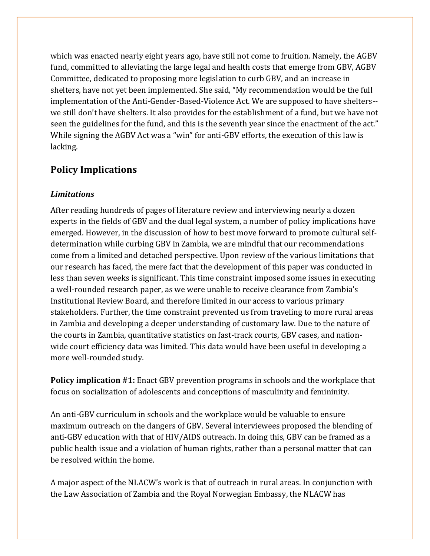which was enacted nearly eight years ago, have still not come to fruition. Namely, the AGBV fund, committed to alleviating the large legal and health costs that emerge from GBV, AGBV Committee, dedicated to proposing more legislation to curb GBV, and an increase in shelters, have not yet been implemented. She said, "My recommendation would be the full implementation of the Anti-Gender-Based-Violence Act. We are supposed to have shelters- we still don't have shelters. It also provides for the establishment of a fund, but we have not seen the guidelines for the fund, and this is the seventh year since the enactment of the act." While signing the AGBV Act was a "win" for anti-GBV efforts, the execution of this law is lacking.

## **Policy Implications**

#### *Limitations*

After reading hundreds of pages of literature review and interviewing nearly a dozen experts in the fields of GBV and the dual legal system, a number of policy implications have emerged. However, in the discussion of how to best move forward to promote cultural selfdetermination while curbing GBV in Zambia, we are mindful that our recommendations come from a limited and detached perspective. Upon review of the various limitations that our research has faced, the mere fact that the development of this paper was conducted in less than seven weeks is significant. This time constraint imposed some issues in executing a well-rounded research paper, as we were unable to receive clearance from Zambia's Institutional Review Board, and therefore limited in our access to various primary stakeholders. Further, the time constraint prevented us from traveling to more rural areas in Zambia and developing a deeper understanding of customary law. Due to the nature of the courts in Zambia, quantitative statistics on fast-track courts, GBV cases, and nationwide court efficiency data was limited. This data would have been useful in developing a more well-rounded study.

**Policy implication #1:** Enact GBV prevention programs in schools and the workplace that focus on socialization of adolescents and conceptions of masculinity and femininity.

An anti-GBV curriculum in schools and the workplace would be valuable to ensure maximum outreach on the dangers of GBV. Several interviewees proposed the blending of anti-GBV education with that of HIV/AIDS outreach. In doing this, GBV can be framed as a public health issue and a violation of human rights, rather than a personal matter that can be resolved within the home.

A major aspect of the NLACW's work is that of outreach in rural areas. In conjunction with the Law Association of Zambia and the Royal Norwegian Embassy, the NLACW has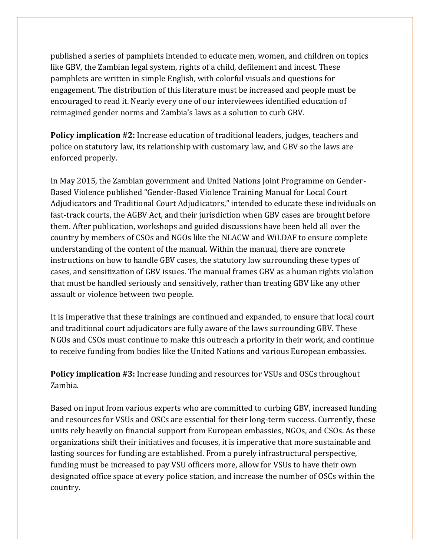published a series of pamphlets intended to educate men, women, and children on topics like GBV, the Zambian legal system, rights of a child, defilement and incest. These pamphlets are written in simple English, with colorful visuals and questions for engagement. The distribution of this literature must be increased and people must be encouraged to read it. Nearly every one of our interviewees identified education of reimagined gender norms and Zambia's laws as a solution to curb GBV.

**Policy implication #2:** Increase education of traditional leaders, judges, teachers and police on statutory law, its relationship with customary law, and GBV so the laws are enforced properly.

In May 2015, the Zambian government and United Nations Joint Programme on Gender-Based Violence published "Gender-Based Violence Training Manual for Local Court Adjudicators and Traditional Court Adjudicators," intended to educate these individuals on fast-track courts, the AGBV Act, and their jurisdiction when GBV cases are brought before them. After publication, workshops and guided discussions have been held all over the country by members of CSOs and NGOs like the NLACW and WiLDAF to ensure complete understanding of the content of the manual. Within the manual, there are concrete instructions on how to handle GBV cases, the statutory law surrounding these types of cases, and sensitization of GBV issues. The manual frames GBV as a human rights violation that must be handled seriously and sensitively, rather than treating GBV like any other assault or violence between two people.

It is imperative that these trainings are continued and expanded, to ensure that local court and traditional court adjudicators are fully aware of the laws surrounding GBV. These NGOs and CSOs must continue to make this outreach a priority in their work, and continue to receive funding from bodies like the United Nations and various European embassies.

**Policy implication #3:** Increase funding and resources for VSUs and OSCs throughout Zambia.

Based on input from various experts who are committed to curbing GBV, increased funding and resources for VSUs and OSCs are essential for their long-term success. Currently, these units rely heavily on financial support from European embassies, NGOs, and CSOs. As these organizations shift their initiatives and focuses, it is imperative that more sustainable and lasting sources for funding are established. From a purely infrastructural perspective, funding must be increased to pay VSU officers more, allow for VSUs to have their own designated office space at every police station, and increase the number of OSCs within the country.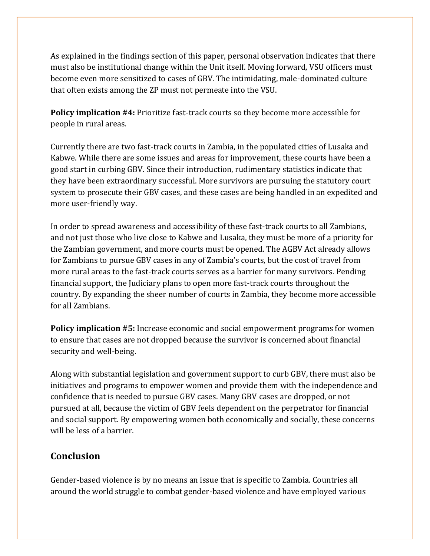As explained in the findings section of this paper, personal observation indicates that there must also be institutional change within the Unit itself. Moving forward, VSU officers must become even more sensitized to cases of GBV. The intimidating, male-dominated culture that often exists among the ZP must not permeate into the VSU.

**Policy implication #4:** Prioritize fast-track courts so they become more accessible for people in rural areas.

Currently there are two fast-track courts in Zambia, in the populated cities of Lusaka and Kabwe. While there are some issues and areas for improvement, these courts have been a good start in curbing GBV. Since their introduction, rudimentary statistics indicate that they have been extraordinary successful. More survivors are pursuing the statutory court system to prosecute their GBV cases, and these cases are being handled in an expedited and more user-friendly way.

In order to spread awareness and accessibility of these fast-track courts to all Zambians, and not just those who live close to Kabwe and Lusaka, they must be more of a priority for the Zambian government, and more courts must be opened. The AGBV Act already allows for Zambians to pursue GBV cases in any of Zambia's courts, but the cost of travel from more rural areas to the fast-track courts serves as a barrier for many survivors. Pending financial support, the Judiciary plans to open more fast-track courts throughout the country. By expanding the sheer number of courts in Zambia, they become more accessible for all Zambians.

**Policy implication #5:** Increase economic and social empowerment programs for women to ensure that cases are not dropped because the survivor is concerned about financial security and well-being.

Along with substantial legislation and government support to curb GBV, there must also be initiatives and programs to empower women and provide them with the independence and confidence that is needed to pursue GBV cases. Many GBV cases are dropped, or not pursued at all, because the victim of GBV feels dependent on the perpetrator for financial and social support. By empowering women both economically and socially, these concerns will be less of a barrier.

### **Conclusion**

Gender-based violence is by no means an issue that is specific to Zambia. Countries all around the world struggle to combat gender-based violence and have employed various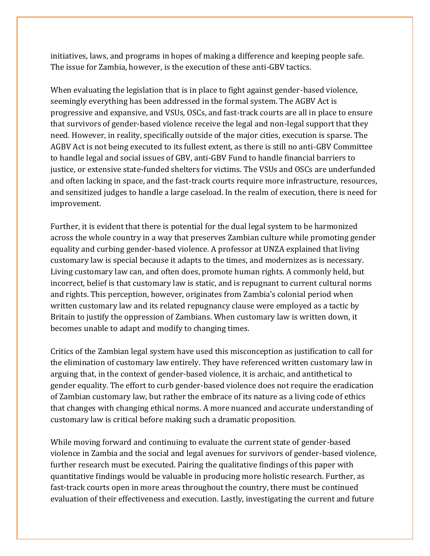initiatives, laws, and programs in hopes of making a difference and keeping people safe. The issue for Zambia, however, is the execution of these anti-GBV tactics.

When evaluating the legislation that is in place to fight against gender-based violence, seemingly everything has been addressed in the formal system. The AGBV Act is progressive and expansive, and VSUs, OSCs, and fast-track courts are all in place to ensure that survivors of gender-based violence receive the legal and non-legal support that they need. However, in reality, specifically outside of the major cities, execution is sparse. The AGBV Act is not being executed to its fullest extent, as there is still no anti-GBV Committee to handle legal and social issues of GBV, anti-GBV Fund to handle financial barriers to justice, or extensive state-funded shelters for victims. The VSUs and OSCs are underfunded and often lacking in space, and the fast-track courts require more infrastructure, resources, and sensitized judges to handle a large caseload. In the realm of execution, there is need for improvement.

Further, it is evident that there is potential for the dual legal system to be harmonized across the whole country in a way that preserves Zambian culture while promoting gender equality and curbing gender-based violence. A professor at UNZA explained that living customary law is special because it adapts to the times, and modernizes as is necessary. Living customary law can, and often does, promote human rights. A commonly held, but incorrect, belief is that customary law is static, and is repugnant to current cultural norms and rights. This perception, however, originates from Zambia's colonial period when written customary law and its related repugnancy clause were employed as a tactic by Britain to justify the oppression of Zambians. When customary law is written down, it becomes unable to adapt and modify to changing times.

Critics of the Zambian legal system have used this misconception as justification to call for the elimination of customary law entirely. They have referenced written customary law in arguing that, in the context of gender-based violence, it is archaic, and antithetical to gender equality. The effort to curb gender-based violence does not require the eradication of Zambian customary law, but rather the embrace of its nature as a living code of ethics that changes with changing ethical norms. A more nuanced and accurate understanding of customary law is critical before making such a dramatic proposition.

While moving forward and continuing to evaluate the current state of gender-based violence in Zambia and the social and legal avenues for survivors of gender-based violence, further research must be executed. Pairing the qualitative findings of this paper with quantitative findings would be valuable in producing more holistic research. Further, as fast-track courts open in more areas throughout the country, there must be continued evaluation of their effectiveness and execution. Lastly, investigating the current and future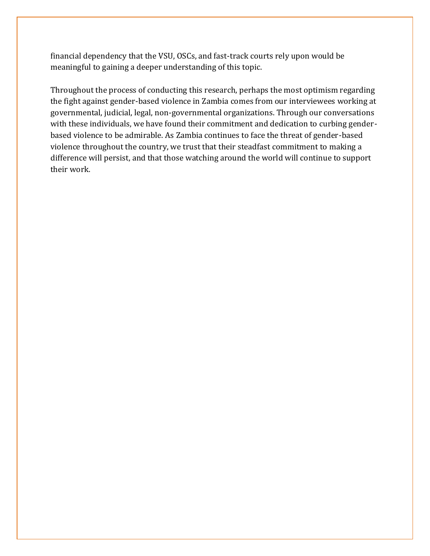financial dependency that the VSU, OSCs, and fast-track courts rely upon would be meaningful to gaining a deeper understanding of this topic.

Throughout the process of conducting this research, perhaps the most optimism regarding the fight against gender-based violence in Zambia comes from our interviewees working at governmental, judicial, legal, non-governmental organizations. Through our conversations with these individuals, we have found their commitment and dedication to curbing genderbased violence to be admirable. As Zambia continues to face the threat of gender-based violence throughout the country, we trust that their steadfast commitment to making a difference will persist, and that those watching around the world will continue to support their work.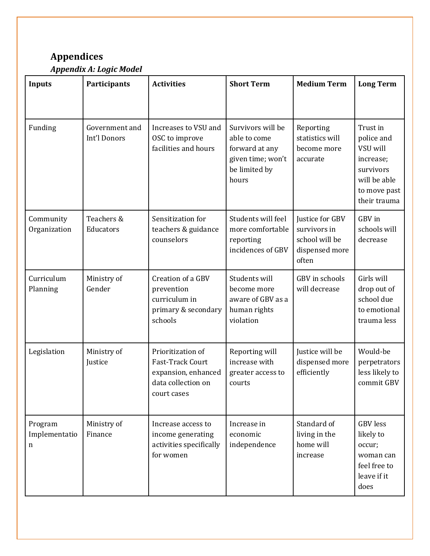## **Appendices**

*Appendix A: Logic Model* 

| <b>Inputs</b>                 | Participants                   | <b>Activities</b>                                                                                 | <b>Short Term</b>                                                                                  | <b>Medium Term</b>                                                           | <b>Long Term</b>                                                                                             |
|-------------------------------|--------------------------------|---------------------------------------------------------------------------------------------------|----------------------------------------------------------------------------------------------------|------------------------------------------------------------------------------|--------------------------------------------------------------------------------------------------------------|
| Funding                       | Government and<br>Int'l Donors | Increases to VSU and<br>OSC to improve<br>facilities and hours                                    | Survivors will be<br>able to come<br>forward at any<br>given time; won't<br>be limited by<br>hours | Reporting<br>statistics will<br>become more<br>accurate                      | Trust in<br>police and<br>VSU will<br>increase;<br>survivors<br>will be able<br>to move past<br>their trauma |
| Community<br>Organization     | Teachers &<br>Educators        | Sensitization for<br>teachers & guidance<br>counselors                                            | Students will feel<br>more comfortable<br>reporting<br>incidences of GBV                           | Justice for GBV<br>survivors in<br>school will be<br>dispensed more<br>often | GBV in<br>schools will<br>decrease                                                                           |
| Curriculum<br>Planning        | Ministry of<br>Gender          | Creation of a GBV<br>prevention<br>curriculum in<br>primary & secondary<br>schools                | Students will<br>become more<br>aware of GBV as a<br>human rights<br>violation                     | GBV in schools<br>will decrease                                              | Girls will<br>drop out of<br>school due<br>to emotional<br>trauma less                                       |
| Legislation                   | Ministry of<br>Justice         | Prioritization of<br>Fast-Track Court<br>expansion, enhanced<br>data collection on<br>court cases | Reporting will<br>increase with<br>greater access to<br>courts                                     | Justice will be<br>dispensed more<br>efficiently                             | Would-be<br>perpetrators<br>less likely to<br>commit GBV                                                     |
| Program<br>Implementatio<br>n | Ministry of<br>Finance         | Increase access to<br>income generating<br>activities specifically<br>for women                   | Increase in<br>economic<br>independence                                                            | Standard of<br>living in the<br>home will<br>increase                        | <b>GBV</b> less<br>likely to<br>occur;<br>woman can<br>feel free to<br>leave if it<br>does                   |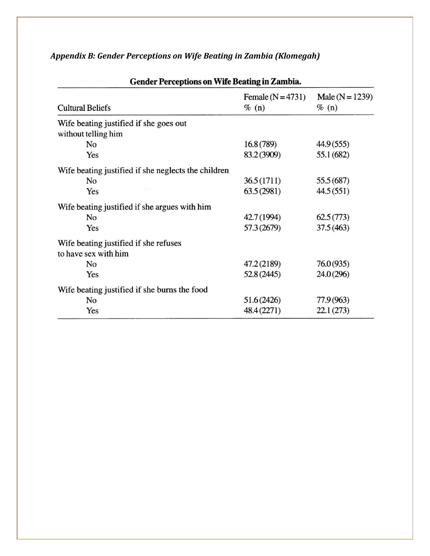| <b>Gender Perceptions on Wife Beating in Zambia.</b> |                               |                                 |  |  |
|------------------------------------------------------|-------------------------------|---------------------------------|--|--|
| <b>Cultural Beliefs</b>                              | Female $(N=4731)$<br>$\%$ (n) | Male ( $N = 1239$ )<br>$\%$ (n) |  |  |
| Wife beating justified if she goes out               |                               |                                 |  |  |
| without telling him                                  |                               |                                 |  |  |
| No                                                   | 16.8(789)                     | 44.9 (555)                      |  |  |
| Yes                                                  | 83.2 (3909)                   | 55.1 (682)                      |  |  |
| Wife beating justified if she neglects the children  |                               |                                 |  |  |
| No                                                   | 36.5 (1711)                   | 55.5 (687)                      |  |  |
| Yes                                                  | 63.5(2981)                    | 44.5(551)                       |  |  |
| Wife beating justified if she argues with him        |                               |                                 |  |  |
| No                                                   | 42.7 (1994)                   | 62.5(773)                       |  |  |
| Yes                                                  | 57.3 (2679)                   | 37.5(463)                       |  |  |
| Wife beating justified if she refuses                |                               |                                 |  |  |
| to have sex with him                                 |                               |                                 |  |  |
| No                                                   | 47.2 (2189)                   | 76.0(935)                       |  |  |
| Yes                                                  | 52.8 (2445)                   | 24.0 (296)                      |  |  |
| Wife beating justified if she burns the food         |                               |                                 |  |  |
| No                                                   | 51.6(2426)                    | 77.9 (963)                      |  |  |
| Yes                                                  | 48.4 (2271)                   | 22.1(273)                       |  |  |

## *Appendix B: Gender Perceptions on Wife Beating in Zambia (Klomegah)*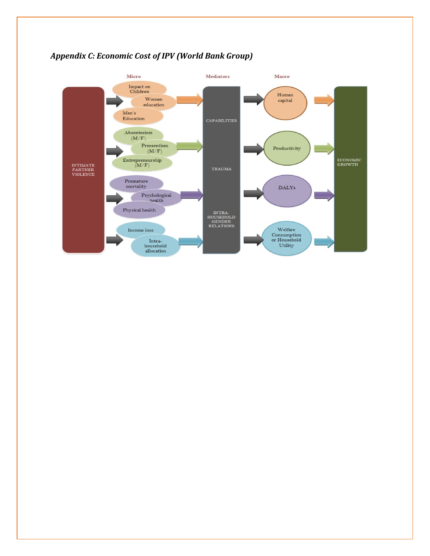

### *Appendix C: Economic Cost of IPV (World Bank Group)*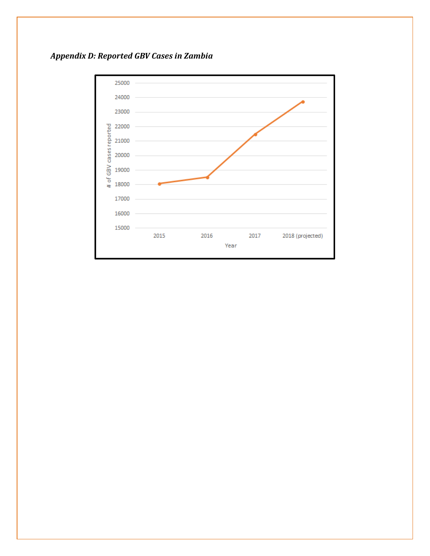

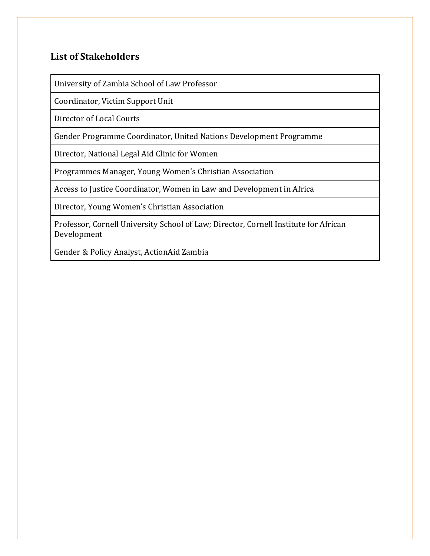## **List of Stakeholders**

University of Zambia School of Law Professor

Coordinator, Victim Support Unit

Director of Local Courts

Gender Programme Coordinator, United Nations Development Programme

Director, National Legal Aid Clinic for Women

Programmes Manager, Young Women's Christian Association

Access to Justice Coordinator, Women in Law and Development in Africa

Director, Young Women's Christian Association

Professor, Cornell University School of Law; Director, Cornell Institute for African Development

Gender & Policy Analyst, ActionAid Zambia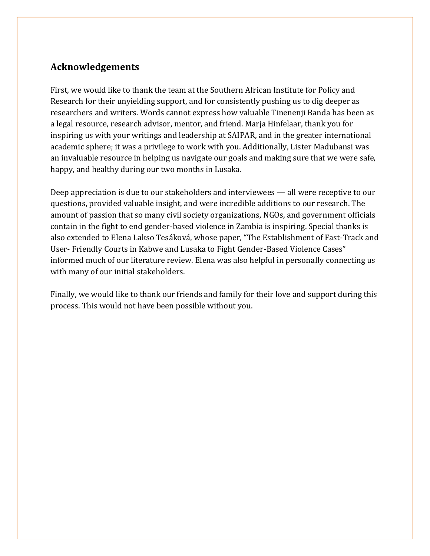## **Acknowledgements**

First, we would like to thank the team at the Southern African Institute for Policy and Research for their unyielding support, and for consistently pushing us to dig deeper as researchers and writers. Words cannot express how valuable Tinenenji Banda has been as a legal resource, research advisor, mentor, and friend. Marja Hinfelaar, thank you for inspiring us with your writings and leadership at SAIPAR, and in the greater international academic sphere; it was a privilege to work with you. Additionally, Lister Madubansi was an invaluable resource in helping us navigate our goals and making sure that we were safe, happy, and healthy during our two months in Lusaka.

Deep appreciation is due to our stakeholders and interviewees — all were receptive to our questions, provided valuable insight, and were incredible additions to our research. The amount of passion that so many civil society organizations, NGOs, and government officials contain in the fight to end gender-based violence in Zambia is inspiring. Special thanks is also extended to Elena Lakso Tesáková, whose paper, "The Establishment of Fast-Track and User- Friendly Courts in Kabwe and Lusaka to Fight Gender-Based Violence Cases" informed much of our literature review. Elena was also helpful in personally connecting us with many of our initial stakeholders.

Finally, we would like to thank our friends and family for their love and support during this process. This would not have been possible without you.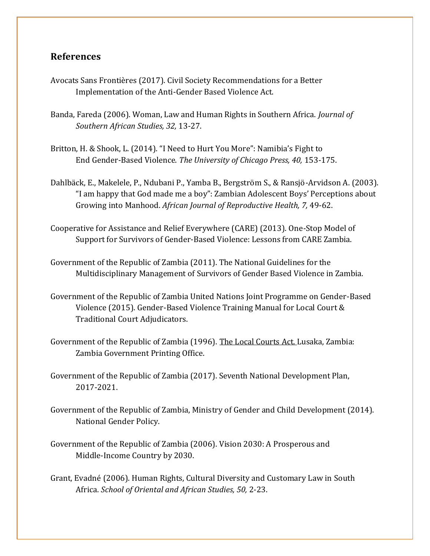#### **References**

- Avocats Sans Frontières (2017). Civil Society Recommendations for a Better Implementation of the Anti-Gender Based Violence Act.
- Banda, Fareda (2006). Woman, Law and Human Rights in Southern Africa. *Journal of Southern African Studies, 32,* 13-27.
- Britton, H. & Shook, L. (2014). "I Need to Hurt You More": Namibia's Fight to End Gender-Based Violence. *The University of Chicago Press, 40,* 153-175.
- Dahlbäck, E., Makelele, P., Ndubani P., Yamba B., Bergström S., & Ransjö-Arvidson A. (2003). "I am happy that God made me a boy": Zambian Adolescent Boys' Perceptions about Growing into Manhood. *African Journal of Reproductive Health, 7,* 49-62.
- Cooperative for Assistance and Relief Everywhere (CARE) (2013). One-Stop Model of Support for Survivors of Gender-Based Violence: Lessons from CARE Zambia.
- Government of the Republic of Zambia (2011). The National Guidelines for the Multidisciplinary Management of Survivors of Gender Based Violence in Zambia.
- Government of the Republic of Zambia United Nations Joint Programme on Gender-Based Violence (2015). Gender-Based Violence Training Manual for Local Court & Traditional Court Adjudicators.
- Government of the Republic of Zambia (1996). The Local Courts Act. Lusaka, Zambia: Zambia Government Printing Office.
- Government of the Republic of Zambia (2017). Seventh National Development Plan, 2017-2021.
- Government of the Republic of Zambia, Ministry of Gender and Child Development (2014). National Gender Policy.
- Government of the Republic of Zambia (2006). Vision 2030: A Prosperous and Middle-Income Country by 2030.
- Grant, Evadné(2006). Human Rights, Cultural Diversity and Customary Law in South Africa. *School of Oriental and African Studies, 50,* 2-23.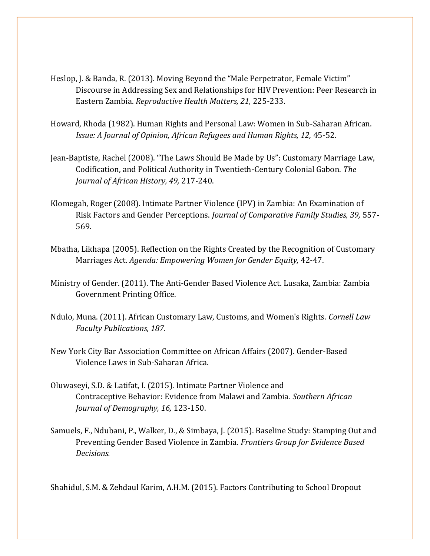- Heslop, J. & Banda, R. (2013). Moving Beyond the "Male Perpetrator, Female Victim" Discourse in Addressing Sex and Relationships for HIV Prevention: Peer Research in Eastern Zambia. *Reproductive Health Matters, 21,* 225-233.
- Howard, Rhoda (1982). Human Rights and Personal Law: Women in Sub-Saharan African. *Issue: A Journal of Opinion, African Refugees and Human Rights, 12, 45-52.*
- Jean-Baptiste, Rachel (2008). "The Laws Should Be Made by Us": Customary Marriage Law, Codification, and Political Authority in Twentieth-Century Colonial Gabon. *The Journal of African History, 49,* 217-240.
- Klomegah, Roger (2008). Intimate Partner Violence (IPV) in Zambia: An Examination of Risk Factors and Gender Perceptions. *Journal of Comparative Family Studies, 39,* 557- 569.
- Mbatha, Likhapa (2005). Reflection on the Rights Created by the Recognition of Customary Marriages Act. *Agenda: Empowering Women for Gender Equity,* 42-47.
- Ministry of Gender. (2011). The Anti-Gender Based Violence Act. Lusaka, Zambia: Zambia Government Printing Office.
- Ndulo, Muna. (2011). African Customary Law, Customs, and Women's Rights. *Cornell Law Faculty Publications, 187.*
- New York City Bar Association Committee on African Affairs (2007). Gender-Based Violence Laws in Sub-Saharan Africa.
- Oluwaseyi, S.D. & Latifat, I. (2015). Intimate Partner Violence and Contraceptive Behavior: Evidence from Malawi and Zambia. *Southern African Journal of Demography, 16,* 123-150.
- Samuels, F., Ndubani, P., Walker, D., & Simbaya, J. (2015). Baseline Study: Stamping Out and Preventing Gender Based Violence in Zambia. *Frontiers Group for Evidence Based Decisions.*

Shahidul, S.M. & Zehdaul Karim, A.H.M. (2015). Factors Contributing to School Dropout